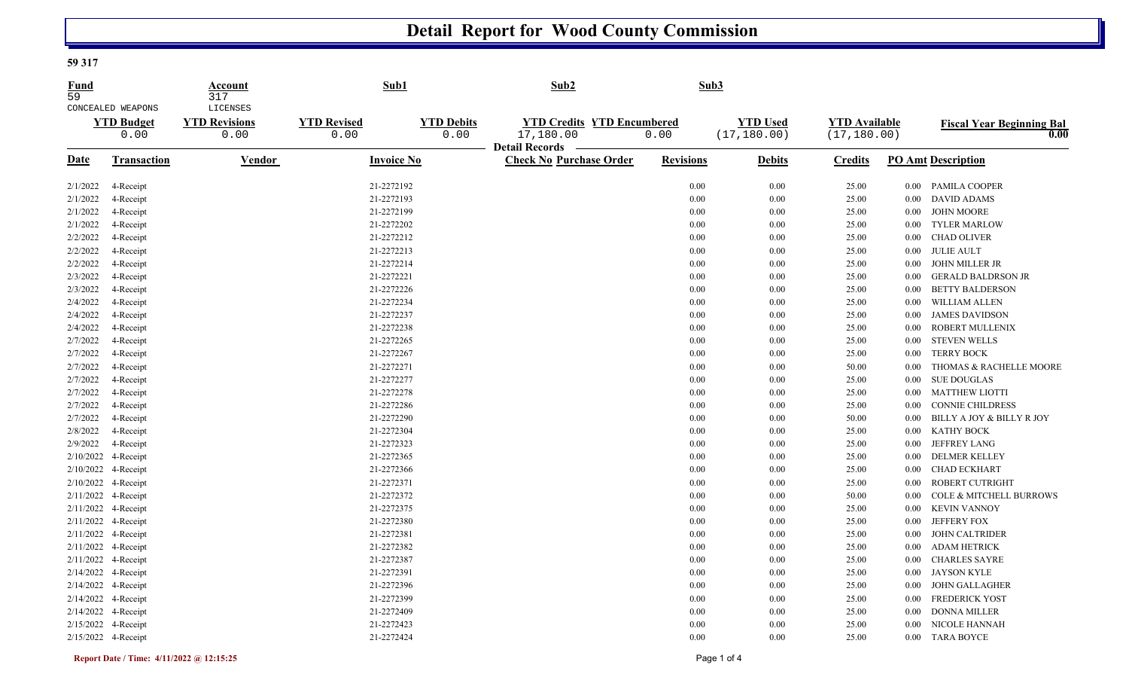## **Detail Report for Wood County Commission**

## **59 317**

| Fund<br>59 |                                                | Account<br>317                           | Sub1                       |                           | Sub2                                                    |                  | Sub3                            |                                      |                   |                                          |
|------------|------------------------------------------------|------------------------------------------|----------------------------|---------------------------|---------------------------------------------------------|------------------|---------------------------------|--------------------------------------|-------------------|------------------------------------------|
|            | CONCEALED WEAPONS<br><b>YTD Budget</b><br>0.00 | LICENSES<br><b>YTD Revisions</b><br>0.00 | <b>YTD Revised</b><br>0.00 | <b>YTD Debits</b><br>0.00 | <b>YTD Credits YTD Encumbered</b><br>17,180.00          | 0.00             | <b>YTD Used</b><br>(17, 180.00) | <b>YTD Available</b><br>(17, 180.00) |                   | <b>Fiscal Year Beginning Bal</b><br>0.00 |
| Date       | Transaction                                    | Vendor                                   | <b>Invoice No</b>          |                           | <b>Detail Records</b><br><b>Check No Purchase Order</b> | <b>Revisions</b> | <b>Debits</b>                   | <b>Credits</b>                       |                   | <b>PO Amt Description</b>                |
| 2/1/2022   | 4-Receipt                                      |                                          | 21-2272192                 |                           |                                                         | 0.00             | 0.00                            | 25.00                                | 0.00              | <b>PAMILA COOPER</b>                     |
| 2/1/2022   | 4-Receipt                                      |                                          | 21-2272193                 |                           |                                                         | 0.00             | 0.00                            | 25.00                                | 0.00              | <b>DAVID ADAMS</b>                       |
| 2/1/2022   | 4-Receipt                                      |                                          | 21-2272199                 |                           |                                                         | 0.00             | 0.00                            | 25.00                                | $0.00\,$          | <b>JOHN MOORE</b>                        |
| 2/1/2022   | 4-Receipt                                      |                                          | 21-2272202                 |                           |                                                         | 0.00             | 0.00                            | 25.00                                | 0.00              | <b>TYLER MARLOW</b>                      |
| 2/2/2022   | 4-Receipt                                      |                                          | 21-2272212                 |                           |                                                         | 0.00             | 0.00                            | 25.00                                | $0.00\,$          | <b>CHAD OLIVER</b>                       |
| 2/2/2022   | 4-Receipt                                      |                                          | 21-2272213                 |                           |                                                         | 0.00             | 0.00                            | 25.00                                | $0.00\,$          | <b>JULIE AULT</b>                        |
| 2/2/2022   | 4-Receipt                                      |                                          | 21-2272214                 |                           |                                                         | 0.00             | 0.00                            | 25.00                                | 0.00 <sub>1</sub> | JOHN MILLER JR                           |
| 2/3/2022   | 4-Receipt                                      |                                          | 21-2272221                 |                           |                                                         | 0.00             | 0.00                            | 25.00                                | $0.00\,$          | <b>GERALD BALDRSON JR</b>                |
| 2/3/2022   | 4-Receipt                                      |                                          | 21-2272226                 |                           |                                                         | 0.00             | 0.00                            | 25.00                                | $0.00\,$          | <b>BETTY BALDERSON</b>                   |
| 2/4/2022   | 4-Receipt                                      |                                          | 21-2272234                 |                           |                                                         | 0.00             | 0.00                            | 25.00                                | 0.00              | WILLIAM ALLEN                            |
| 2/4/2022   | 4-Receipt                                      |                                          | 21-2272237                 |                           |                                                         | 0.00             | 0.00                            | 25.00                                | $0.00\,$          | <b>JAMES DAVIDSON</b>                    |
| 2/4/2022   | 4-Receipt                                      |                                          | 21-2272238                 |                           |                                                         | 0.00             | 0.00                            | 25.00                                | $0.00\,$          | ROBERT MULLENIX                          |
| 2/7/2022   | 4-Receipt                                      |                                          | 21-2272265                 |                           |                                                         | 0.00             | 0.00                            | 25.00                                | $0.00\,$          | <b>STEVEN WELLS</b>                      |
| 2/7/2022   | 4-Receipt                                      |                                          | 21-2272267                 |                           |                                                         | 0.00             | 0.00                            | 25.00                                | 0.00              | <b>TERRY BOCK</b>                        |
| 2/7/2022   | 4-Receipt                                      |                                          | 21-2272271                 |                           |                                                         | 0.00             | 0.00                            | 50.00                                | 0.00              | THOMAS & RACHELLE MOORE                  |
| 2/7/2022   | 4-Receipt                                      |                                          | 21-2272277                 |                           |                                                         | 0.00             | 0.00                            | 25.00                                | $0.00\,$          | <b>SUE DOUGLAS</b>                       |
| 2/7/2022   | 4-Receipt                                      |                                          | 21-2272278                 |                           |                                                         | 0.00             | 0.00                            | 25.00                                | 0.00              | <b>MATTHEW LIOTTI</b>                    |
| 2/7/2022   | 4-Receipt                                      |                                          | 21-2272286                 |                           |                                                         | 0.00             | 0.00                            | 25.00                                | 0.00              | CONNIE CHILDRESS                         |
| 2/7/2022   | 4-Receipt                                      |                                          | 21-2272290                 |                           |                                                         | 0.00             | 0.00                            | 50.00                                | 0.00              | BILLY A JOY & BILLY R JOY                |
| 2/8/2022   | 4-Receipt                                      |                                          | 21-2272304                 |                           |                                                         | 0.00             | 0.00                            | 25.00                                | 0.00              | <b>KATHY BOCK</b>                        |
| 2/9/2022   | 4-Receipt                                      |                                          | 21-2272323                 |                           |                                                         | 0.00             | 0.00                            | 25.00                                | $0.00\,$          | <b>JEFFREY LANG</b>                      |
| 2/10/2022  | 4-Receipt                                      |                                          | 21-2272365                 |                           |                                                         | 0.00             | 0.00                            | 25.00                                | 0.00              | <b>DELMER KELLEY</b>                     |
|            | 2/10/2022 4-Receipt                            |                                          | 21-2272366                 |                           |                                                         | 0.00             | 0.00                            | 25.00                                | $0.00\,$          | <b>CHAD ECKHART</b>                      |
|            | 2/10/2022 4-Receipt                            |                                          | 21-2272371                 |                           |                                                         | 0.00             | 0.00                            | 25.00                                | 0.00              | ROBERT CUTRIGHT                          |
|            | 2/11/2022 4-Receipt                            |                                          | 21-2272372                 |                           |                                                         | 0.00             | 0.00                            | 50.00                                | 0.00              | <b>COLE &amp; MITCHELL BURROWS</b>       |
|            | 2/11/2022 4-Receipt                            |                                          | 21-2272375                 |                           |                                                         | 0.00             | 0.00                            | 25.00                                | $0.00\,$          | <b>KEVIN VANNOY</b>                      |
|            | 2/11/2022 4-Receipt                            |                                          | 21-2272380                 |                           |                                                         | 0.00             | 0.00                            | 25.00                                | 0.00              | <b>JEFFERY FOX</b>                       |
|            | 2/11/2022 4-Receipt                            |                                          | 21-2272381                 |                           |                                                         | 0.00             | 0.00                            | 25.00                                | 0.00              | <b>JOHN CALTRIDER</b>                    |
|            | 2/11/2022 4-Receipt                            |                                          | 21-2272382                 |                           |                                                         | 0.00             | 0.00                            | 25.00                                | 0.00 <sub>1</sub> | <b>ADAM HETRICK</b>                      |
|            | 2/11/2022 4-Receipt                            |                                          | 21-2272387                 |                           |                                                         | 0.00             | 0.00                            | 25.00                                | $0.00\,$          | <b>CHARLES SAYRE</b>                     |
|            | 2/14/2022 4-Receipt                            |                                          | 21-2272391                 |                           |                                                         | $0.00\,$         | 0.00                            | 25.00                                | $0.00\,$          | <b>JAYSON KYLE</b>                       |
|            | 2/14/2022 4-Receipt                            |                                          | 21-2272396                 |                           |                                                         | 0.00             | 0.00                            | 25.00                                | 0.00              | <b>JOHN GALLAGHER</b>                    |
|            | 2/14/2022 4-Receipt                            |                                          | 21-2272399                 |                           |                                                         | 0.00             | 0.00                            | 25.00                                | 0.00              | <b>FREDERICK YOST</b>                    |
|            | 2/14/2022 4-Receipt                            |                                          | 21-2272409                 |                           |                                                         | 0.00             | 0.00                            | 25.00                                | 0.00              | <b>DONNA MILLER</b>                      |
|            | 2/15/2022 4-Receipt                            |                                          | 21-2272423                 |                           |                                                         | 0.00             | 0.00                            | 25.00                                | 0.00              | NICOLE HANNAH                            |
|            | 2/15/2022 4-Receipt                            |                                          | 21-2272424                 |                           |                                                         | 0.00             | 0.00                            | 25.00                                | $0.00\,$          | <b>TARA BOYCE</b>                        |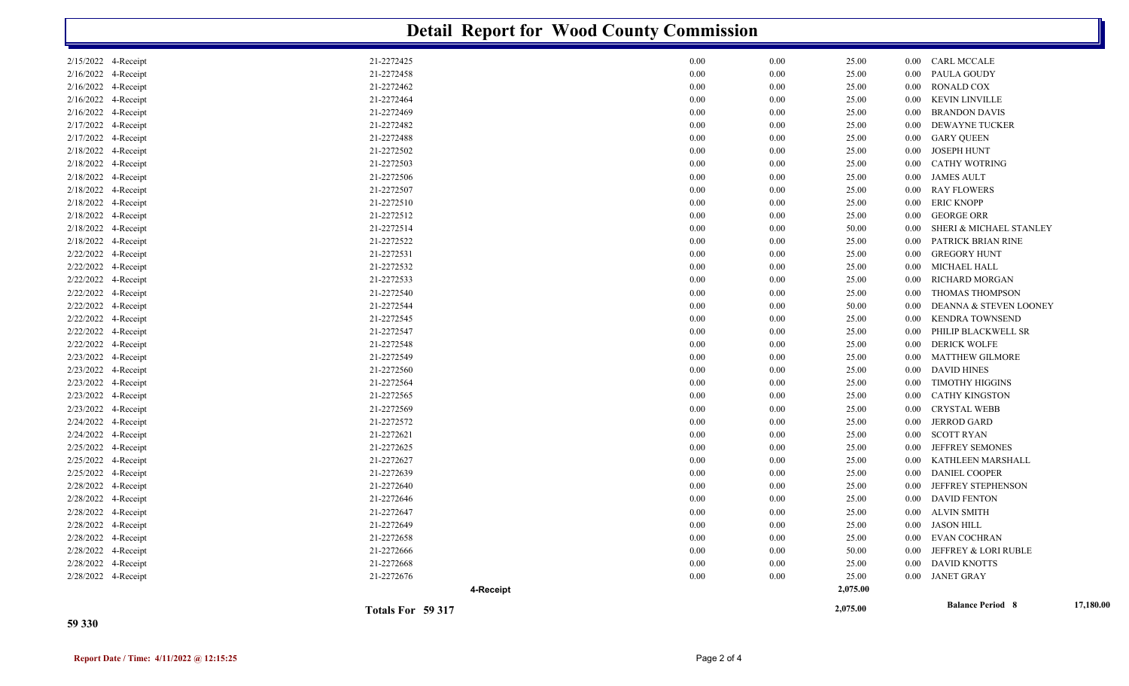| <b>Detail Report for Wood County Commission</b> |                   |          |          |          |          |                                    |           |  |
|-------------------------------------------------|-------------------|----------|----------|----------|----------|------------------------------------|-----------|--|
| 2/15/2022 4-Receipt                             | 21-2272425        | 0.00     | 0.00     | 25.00    |          | 0.00 CARL MCCALE                   |           |  |
| 2/16/2022 4-Receipt                             | 21-2272458        | 0.00     | 0.00     | 25.00    | $0.00\,$ | PAULA GOUDY                        |           |  |
| 2/16/2022 4-Receipt                             | 21-2272462        | 0.00     | 0.00     | 25.00    | 0.00     | RONALD COX                         |           |  |
| 2/16/2022 4-Receipt                             | 21-2272464        | 0.00     | 0.00     | 25.00    | $0.00\,$ | KEVIN LINVILLE                     |           |  |
| 2/16/2022 4-Receipt                             | 21-2272469        | 0.00     | 0.00     | 25.00    | $0.00\,$ | <b>BRANDON DAVIS</b>               |           |  |
| 2/17/2022<br>4-Receipt                          | 21-2272482        | 0.00     | 0.00     | 25.00    | 0.00     | DEWAYNE TUCKER                     |           |  |
| 2/17/2022 4-Receipt                             | 21-2272488        | 0.00     | 0.00     | 25.00    | $0.00\,$ | <b>GARY QUEEN</b>                  |           |  |
| 2/18/2022 4-Receipt                             | 21-2272502        | 0.00     | 0.00     | 25.00    | $0.00\,$ | <b>JOSEPH HUNT</b>                 |           |  |
| 2/18/2022 4-Receipt                             | 21-2272503        | 0.00     | 0.00     | 25.00    | $0.00\,$ | <b>CATHY WOTRING</b>               |           |  |
| 2/18/2022 4-Receipt                             | 21-2272506        | 0.00     | 0.00     | 25.00    | $0.00\,$ | <b>JAMES AULT</b>                  |           |  |
| 2/18/2022 4-Receipt                             | 21-2272507        | 0.00     | 0.00     | 25.00    | $0.00\,$ | <b>RAY FLOWERS</b>                 |           |  |
| 2/18/2022 4-Receipt                             | 21-2272510        | 0.00     | 0.00     | 25.00    | $0.00\,$ | <b>ERIC KNOPP</b>                  |           |  |
| 2/18/2022 4-Receipt                             | 21-2272512        | 0.00     | 0.00     | 25.00    | $0.00\,$ | <b>GEORGE ORR</b>                  |           |  |
| 2/18/2022 4-Receipt                             | 21-2272514        | 0.00     | 0.00     | 50.00    | 0.00     | <b>SHERI &amp; MICHAEL STANLEY</b> |           |  |
| 2/18/2022 4-Receipt                             | 21-2272522        | 0.00     | 0.00     | 25.00    | 0.00     | PATRICK BRIAN RINE                 |           |  |
| 2/22/2022 4-Receipt                             | 21-2272531        | 0.00     | 0.00     | 25.00    | $0.00\,$ | <b>GREGORY HUNT</b>                |           |  |
| 2/22/2022 4-Receipt                             | 21-2272532        | $0.00\,$ | 0.00     | 25.00    | $0.00\,$ | MICHAEL HALL                       |           |  |
| 2/22/2022 4-Receipt                             | 21-2272533        | 0.00     | 0.00     | 25.00    | 0.00     | RICHARD MORGAN                     |           |  |
| 2/22/2022 4-Receipt                             | 21-2272540        | 0.00     | 0.00     | 25.00    | 0.00     | THOMAS THOMPSON                    |           |  |
| 2/22/2022 4-Receipt                             | 21-2272544        | 0.00     | $0.00\,$ | 50.00    | 0.00     | DEANNA & STEVEN LOONEY             |           |  |
| 2/22/2022 4-Receipt                             | 21-2272545        | 0.00     | 0.00     | 25.00    | 0.00     | <b>KENDRA TOWNSEND</b>             |           |  |
| 2/22/2022 4-Receipt                             | 21-2272547        | 0.00     | 0.00     | 25.00    | 0.00     | PHILIP BLACKWELL SR                |           |  |
| 2/22/2022 4-Receipt                             | 21-2272548        | 0.00     | $0.00\,$ | 25.00    | $0.00\,$ | <b>DERICK WOLFE</b>                |           |  |
| 2/23/2022 4-Receipt                             | 21-2272549        | 0.00     | 0.00     | 25.00    | 0.00     | <b>MATTHEW GILMORE</b>             |           |  |
| 2/23/2022 4-Receipt                             | 21-2272560        | 0.00     | 0.00     | 25.00    | 0.00     | <b>DAVID HINES</b>                 |           |  |
| 2/23/2022 4-Receipt                             | 21-2272564        | 0.00     | 0.00     | 25.00    | 0.00     | <b>TIMOTHY HIGGINS</b>             |           |  |
| 2/23/2022 4-Receipt                             | 21-2272565        | 0.00     | 0.00     | 25.00    | 0.00     | <b>CATHY KINGSTON</b>              |           |  |
| 2/23/2022 4-Receipt                             | 21-2272569        | 0.00     | 0.00     | 25.00    | 0.00     | <b>CRYSTAL WEBB</b>                |           |  |
| 2/24/2022 4-Receipt                             | 21-2272572        | 0.00     | 0.00     | 25.00    | $0.00\,$ | <b>JERROD GARD</b>                 |           |  |
| 2/24/2022 4-Receipt                             | 21-2272621        | 0.00     | 0.00     | 25.00    | $0.00\,$ | SCOTT RYAN                         |           |  |
| 2/25/2022 4-Receipt                             | 21-2272625        | $0.00\,$ | 0.00     | 25.00    | 0.00     | JEFFREY SEMONES                    |           |  |
| 2/25/2022 4-Receipt                             | 21-2272627        | 0.00     | 0.00     | 25.00    | 0.00     | KATHLEEN MARSHALL                  |           |  |
| 2/25/2022 4-Receipt                             | 21-2272639        | 0.00     | 0.00     | 25.00    | $0.00\,$ | <b>DANIEL COOPER</b>               |           |  |
| 2/28/2022 4-Receipt                             | 21-2272640        | 0.00     | 0.00     | 25.00    | 0.00     | JEFFREY STEPHENSON                 |           |  |
| 2/28/2022 4-Receipt                             | 21-2272646        | 0.00     | 0.00     | 25.00    | $0.00\,$ | <b>DAVID FENTON</b>                |           |  |
| 2/28/2022 4-Receipt                             | 21-2272647        | 0.00     | 0.00     | 25.00    |          | 0.00 ALVIN SMITH                   |           |  |
| 2/28/2022 4-Receipt                             | 21-2272649        | $0.00\,$ | $0.00\,$ | 25.00    |          | 0.00 JASON HILL                    |           |  |
| 2/28/2022 4-Receipt                             | 21-2272658        | $0.00\,$ | $0.00\,$ | 25.00    |          | 0.00 EVAN COCHRAN                  |           |  |
| 2/28/2022 4-Receipt                             | 21-2272666        | $0.00\,$ | $0.00\,$ | 50.00    |          | 0.00 JEFFREY & LORI RUBLE          |           |  |
| 2/28/2022 4-Receipt                             | 21-2272668        | 0.00     | $0.00\,$ | 25.00    |          | 0.00 DAVID KNOTTS                  |           |  |
| 2/28/2022 4-Receipt                             | 21-2272676        | 0.00     | $0.00\,$ | 25.00    |          | 0.00 JANET GRAY                    |           |  |
|                                                 | 4-Receipt         |          |          | 2,075.00 |          |                                    |           |  |
|                                                 | Totals For 59 317 |          |          | 2,075.00 |          | <b>Balance Period 8</b>            | 17,180.00 |  |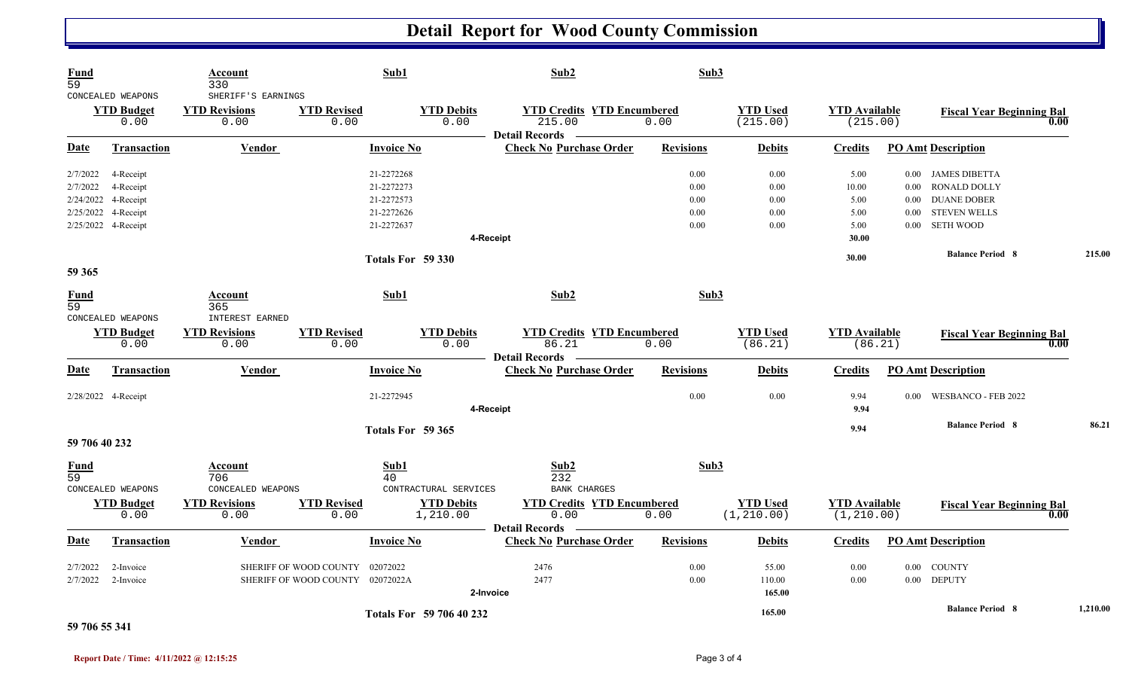## **Detail Report for Wood County Commission**

| <b>Fund</b><br>59              | CONCEALED WEAPONS         | Account<br>330<br>SHERIFF'S EARNINGS     |                                    | Sub1                      | Sub2                                                                 | Sub3             |                             |                                  |          |                                          |          |
|--------------------------------|---------------------------|------------------------------------------|------------------------------------|---------------------------|----------------------------------------------------------------------|------------------|-----------------------------|----------------------------------|----------|------------------------------------------|----------|
|                                | <b>YTD Budget</b><br>0.00 | <b>YTD Revisions</b><br>0.00             | <b>YTD Revised</b><br>0.00         | <b>YTD Debits</b><br>0.00 | <b>YTD Credits YTD Encumbered</b><br>215.00<br><b>Detail Records</b> | 0.00             | <b>YTD Used</b><br>(215.00) | <b>YTD</b> Available<br>(215.00) |          | <b>Fiscal Year Beginning Bal</b><br>0.00 |          |
| <b>Date</b>                    | <b>Transaction</b>        | <b>Vendor</b>                            |                                    | <b>Invoice No</b>         | <b>Check No Purchase Order</b>                                       | <b>Revisions</b> | <b>Debits</b>               | <b>Credits</b>                   |          | <b>PO Amt Description</b>                |          |
| 2/7/2022                       | 4-Receipt                 |                                          |                                    | 21-2272268                |                                                                      | 0.00             | 0.00                        | 5.00                             |          | 0.00 JAMES DIBETTA                       |          |
| 2/7/2022                       | 4-Receipt                 |                                          |                                    | 21-2272273                |                                                                      | 0.00             | 0.00                        | 10.00                            |          | 0.00 RONALD DOLLY                        |          |
| 2/24/2022                      | 4-Receipt                 |                                          |                                    | 21-2272573                |                                                                      | 0.00             | 0.00                        | 5.00                             | $0.00\,$ | <b>DUANE DOBER</b>                       |          |
| 2/25/2022                      | 4-Receipt                 |                                          |                                    | 21-2272626                |                                                                      | 0.00             | 0.00                        | 5.00                             | 0.00     | <b>STEVEN WELLS</b>                      |          |
|                                | 2/25/2022 4-Receipt       |                                          |                                    | 21-2272637                |                                                                      | 0.00             | 0.00                        | 5.00                             | $0.00\,$ | <b>SETH WOOD</b>                         |          |
|                                |                           |                                          |                                    |                           | 4-Receipt                                                            |                  |                             | 30.00                            |          |                                          |          |
|                                |                           |                                          |                                    | Totals For 59 330         |                                                                      |                  |                             | 30.00                            |          | <b>Balance Period 8</b>                  | 215.00   |
| 59 365                         |                           |                                          |                                    |                           |                                                                      |                  |                             |                                  |          |                                          |          |
| <b>Fund</b><br>$\overline{59}$ | CONCEALED WEAPONS         | Account<br>365<br><b>INTEREST EARNED</b> |                                    | Sub1                      | Sub2                                                                 | Sub3             |                             |                                  |          |                                          |          |
|                                |                           |                                          | <b>YTD Revised</b>                 |                           |                                                                      |                  |                             |                                  |          |                                          |          |
| <b>YTD Budget</b><br>0.00      |                           | <b>YTD Revisions</b><br>0.00             | 0.00                               | <b>YTD Debits</b><br>0.00 | <b>YTD Credits YTD Encumbered</b><br>86.21                           | 0.00             | <b>YTD Used</b><br>(86.21)  | <b>YTD</b> Available<br>(86.21)  |          | <b>Fiscal Year Beginning Bal</b><br>0.00 |          |
|                                |                           |                                          |                                    |                           | <b>Detail Records</b>                                                |                  |                             |                                  |          |                                          |          |
| Date                           | <b>Transaction</b>        | <b>Vendor</b>                            |                                    | <b>Invoice No</b>         | <b>Check No Purchase Order</b>                                       | <b>Revisions</b> | <b>Debits</b>               | <b>Credits</b>                   |          | <b>PO Amt Description</b>                |          |
|                                | 2/28/2022 4-Receipt       |                                          |                                    | 21-2272945                |                                                                      | 0.00             | 0.00                        | 9.94                             |          | 0.00 WESBANCO - FEB 2022                 |          |
|                                |                           |                                          |                                    |                           | 4-Receipt                                                            |                  |                             | 9.94                             |          |                                          |          |
|                                |                           |                                          |                                    | Totals For 59 365         |                                                                      |                  |                             | 9.94                             |          | <b>Balance Period 8</b>                  | 86.21    |
| 59 706 40 232                  |                           |                                          |                                    |                           |                                                                      |                  |                             |                                  |          |                                          |          |
| $\frac{Fund}{59}$              |                           | Account<br>706                           |                                    | Sub1<br>40                | Sub <sub>2</sub><br>232                                              | Sub3             |                             |                                  |          |                                          |          |
|                                | CONCEALED WEAPONS         | CONCEALED WEAPONS                        |                                    | CONTRACTURAL SERVICES     | <b>BANK CHARGES</b>                                                  |                  |                             |                                  |          |                                          |          |
|                                | <b>YTD Budget</b>         | <b>YTD Revisions</b>                     | <b>YTD Revised</b>                 | <b>YTD Debits</b>         | <b>YTD Credits YTD Encumbered</b>                                    |                  | <b>YTD Used</b>             | <b>YTD Available</b>             |          | <b>Fiscal Year Beginning Bal</b>         |          |
|                                | 0.00                      | 0.00                                     | 0.00                               | 1,210.00                  | 0.00                                                                 | 0.00             | (1, 210.00)                 | (1, 210.00)                      |          | 0.00                                     |          |
|                                |                           |                                          |                                    |                           | <b>Detail Records</b>                                                |                  |                             |                                  |          |                                          |          |
| <b>Date</b>                    | <b>Transaction</b>        | <b>Vendor</b>                            |                                    | <b>Invoice No</b>         | <b>Check No Purchase Order</b>                                       | <b>Revisions</b> | <b>Debits</b>               | <b>Credits</b>                   |          | <b>PO Amt Description</b>                |          |
| 2/7/2022                       | 2-Invoice                 |                                          | SHERIFF OF WOOD COUNTY<br>02072022 |                           | 2476                                                                 | 0.00             | 55.00                       | 0.00                             |          | 0.00 COUNTY                              |          |
| 2/7/2022                       | 2-Invoice                 |                                          | SHERIFF OF WOOD COUNTY 02072022A   |                           | 2477                                                                 | 0.00             | 110.00                      | 0.00                             |          | 0.00 DEPUTY                              |          |
|                                |                           |                                          |                                    | 2-Invoice                 |                                                                      |                  | 165.00                      |                                  |          |                                          |          |
|                                |                           |                                          |                                    | Totals For 59 706 40 232  |                                                                      |                  | 165.00                      |                                  |          | <b>Balance Period 8</b>                  | 1,210.00 |

**59 706 55 341**